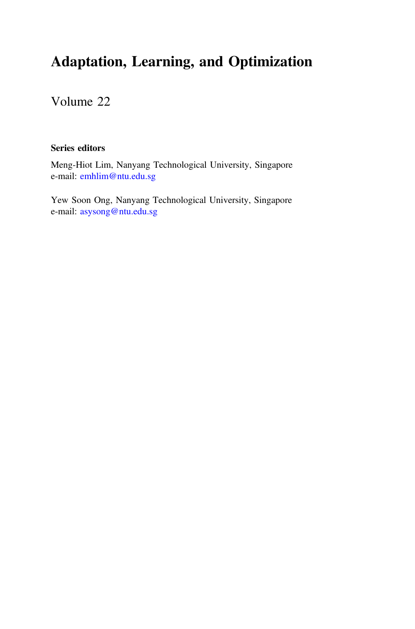# Adaptation, Learning, and Optimization

Volume 22

### Series editors

Meng-Hiot Lim, Nanyang Technological University, Singapore e-mail: emhlim@ntu.edu.sg

Yew Soon Ong, Nanyang Technological University, Singapore e-mail: asysong@ntu.edu.sg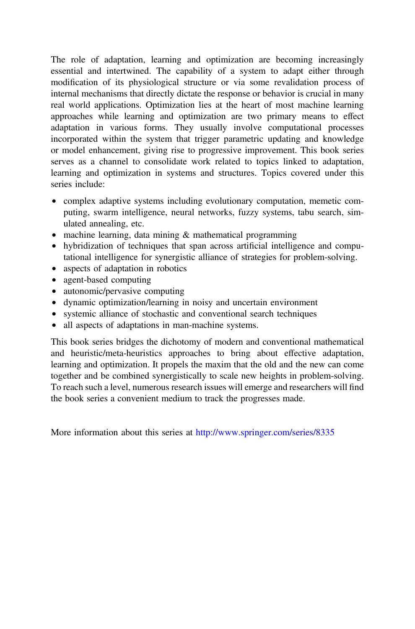The role of adaptation, learning and optimization are becoming increasingly essential and intertwined. The capability of a system to adapt either through modification of its physiological structure or via some revalidation process of internal mechanisms that directly dictate the response or behavior is crucial in many real world applications. Optimization lies at the heart of most machine learning approaches while learning and optimization are two primary means to effect adaptation in various forms. They usually involve computational processes incorporated within the system that trigger parametric updating and knowledge or model enhancement, giving rise to progressive improvement. This book series serves as a channel to consolidate work related to topics linked to adaptation, learning and optimization in systems and structures. Topics covered under this series include:

- complex adaptive systems including evolutionary computation, memetic computing, swarm intelligence, neural networks, fuzzy systems, tabu search, simulated annealing, etc.
- machine learning, data mining & mathematical programming
- hybridization of techniques that span across artificial intelligence and computational intelligence for synergistic alliance of strategies for problem-solving.
- aspects of adaptation in robotics
- agent-based computing
- autonomic/pervasive computing
- dynamic optimization/learning in noisy and uncertain environment
- systemic alliance of stochastic and conventional search techniques
- all aspects of adaptations in man-machine systems.

This book series bridges the dichotomy of modern and conventional mathematical and heuristic/meta-heuristics approaches to bring about effective adaptation, learning and optimization. It propels the maxim that the old and the new can come together and be combined synergistically to scale new heights in problem-solving. To reach such a level, numerous research issues will emerge and researchers will find the book series a convenient medium to track the progresses made.

More information about this series at <http://www.springer.com/series/8335>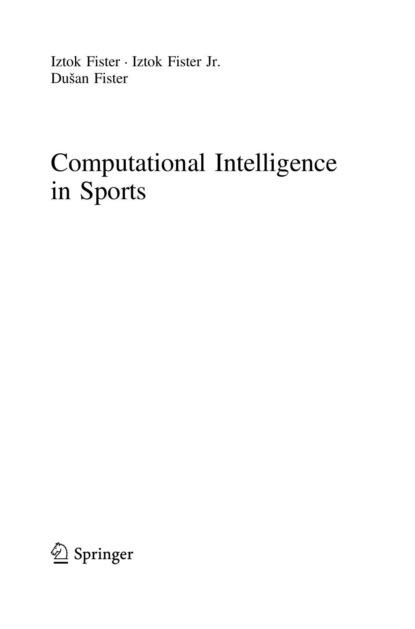Iztok Fister • Iztok Fister Jr. Dušan Fister

# Computational Intelligence in Sports

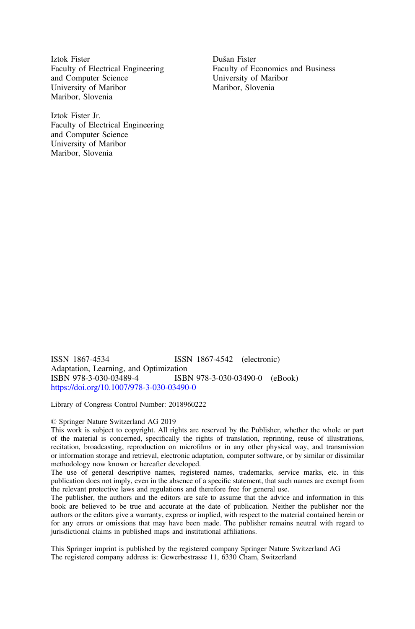Iztok Fister Faculty of Electrical Engineering and Computer Science University of Maribor Maribor, Slovenia

Iztok Fister Jr. Faculty of Electrical Engineering and Computer Science University of Maribor Maribor, Slovenia

Dušan Fister Faculty of Economics and Business University of Maribor Maribor, Slovenia

ISSN 1867-4534 ISSN 1867-4542 (electronic) Adaptation, Learning, and Optimization<br>ISBN 978-3-030-03489-4 ISBN ISBN 978-3-030-03490-0 (eBook) <https://doi.org/10.1007/978-3-030-03490-0>

Library of Congress Control Number: 2018960222

#### © Springer Nature Switzerland AG 2019

This work is subject to copyright. All rights are reserved by the Publisher, whether the whole or part of the material is concerned, specifically the rights of translation, reprinting, reuse of illustrations, recitation, broadcasting, reproduction on microfilms or in any other physical way, and transmission or information storage and retrieval, electronic adaptation, computer software, or by similar or dissimilar methodology now known or hereafter developed.

The use of general descriptive names, registered names, trademarks, service marks, etc. in this publication does not imply, even in the absence of a specific statement, that such names are exempt from the relevant protective laws and regulations and therefore free for general use.

The publisher, the authors and the editors are safe to assume that the advice and information in this book are believed to be true and accurate at the date of publication. Neither the publisher nor the authors or the editors give a warranty, express or implied, with respect to the material contained herein or for any errors or omissions that may have been made. The publisher remains neutral with regard to jurisdictional claims in published maps and institutional affiliations.

This Springer imprint is published by the registered company Springer Nature Switzerland AG The registered company address is: Gewerbestrasse 11, 6330 Cham, Switzerland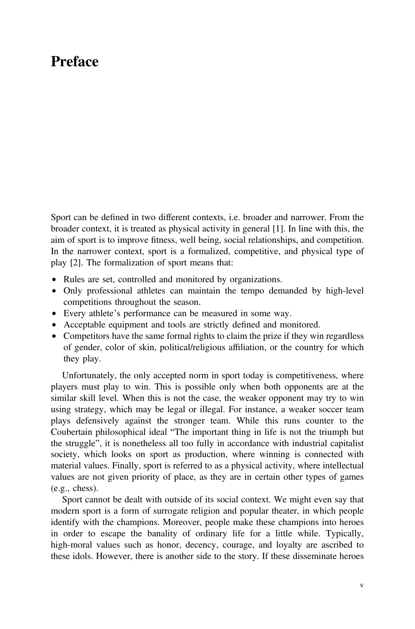## Preface

Sport can be defined in two different contexts, i.e. broader and narrower. From the broader context, it is treated as physical activity in general [1]. In line with this, the aim of sport is to improve fitness, well being, social relationships, and competition. In the narrower context, sport is a formalized, competitive, and physical type of play [2]. The formalization of sport means that:

- Rules are set, controlled and monitored by organizations.
- Only professional athletes can maintain the tempo demanded by high-level competitions throughout the season.
- Every athlete's performance can be measured in some way.
- Acceptable equipment and tools are strictly defined and monitored.
- Competitors have the same formal rights to claim the prize if they win regardless of gender, color of skin, political/religious affiliation, or the country for which they play.

Unfortunately, the only accepted norm in sport today is competitiveness, where players must play to win. This is possible only when both opponents are at the similar skill level. When this is not the case, the weaker opponent may try to win using strategy, which may be legal or illegal. For instance, a weaker soccer team plays defensively against the stronger team. While this runs counter to the Coubertain philosophical ideal "The important thing in life is not the triumph but the struggle", it is nonetheless all too fully in accordance with industrial capitalist society, which looks on sport as production, where winning is connected with material values. Finally, sport is referred to as a physical activity, where intellectual values are not given priority of place, as they are in certain other types of games (e.g., chess).

Sport cannot be dealt with outside of its social context. We might even say that modern sport is a form of surrogate religion and popular theater, in which people identify with the champions. Moreover, people make these champions into heroes in order to escape the banality of ordinary life for a little while. Typically, high-moral values such as honor, decency, courage, and loyalty are ascribed to these idols. However, there is another side to the story. If these disseminate heroes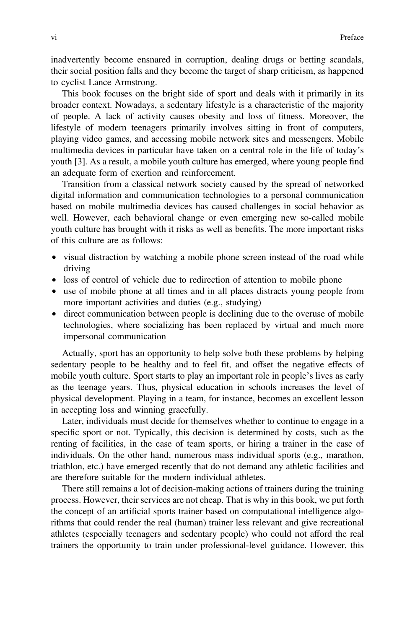inadvertently become ensnared in corruption, dealing drugs or betting scandals, their social position falls and they become the target of sharp criticism, as happened to cyclist Lance Armstrong.

This book focuses on the bright side of sport and deals with it primarily in its broader context. Nowadays, a sedentary lifestyle is a characteristic of the majority of people. A lack of activity causes obesity and loss of fitness. Moreover, the lifestyle of modern teenagers primarily involves sitting in front of computers, playing video games, and accessing mobile network sites and messengers. Mobile multimedia devices in particular have taken on a central role in the life of today's youth [3]. As a result, a mobile youth culture has emerged, where young people find an adequate form of exertion and reinforcement.

Transition from a classical network society caused by the spread of networked digital information and communication technologies to a personal communication based on mobile multimedia devices has caused challenges in social behavior as well. However, each behavioral change or even emerging new so-called mobile youth culture has brought with it risks as well as benefits. The more important risks of this culture are as follows:

- visual distraction by watching a mobile phone screen instead of the road while driving
- loss of control of vehicle due to redirection of attention to mobile phone
- use of mobile phone at all times and in all places distracts young people from more important activities and duties (e.g., studying)
- direct communication between people is declining due to the overuse of mobile technologies, where socializing has been replaced by virtual and much more impersonal communication

Actually, sport has an opportunity to help solve both these problems by helping sedentary people to be healthy and to feel fit, and offset the negative effects of mobile youth culture. Sport starts to play an important role in people's lives as early as the teenage years. Thus, physical education in schools increases the level of physical development. Playing in a team, for instance, becomes an excellent lesson in accepting loss and winning gracefully.

Later, individuals must decide for themselves whether to continue to engage in a specific sport or not. Typically, this decision is determined by costs, such as the renting of facilities, in the case of team sports, or hiring a trainer in the case of individuals. On the other hand, numerous mass individual sports (e.g., marathon, triathlon, etc.) have emerged recently that do not demand any athletic facilities and are therefore suitable for the modern individual athletes.

There still remains a lot of decision-making actions of trainers during the training process. However, their services are not cheap. That is why in this book, we put forth the concept of an artificial sports trainer based on computational intelligence algorithms that could render the real (human) trainer less relevant and give recreational athletes (especially teenagers and sedentary people) who could not afford the real trainers the opportunity to train under professional-level guidance. However, this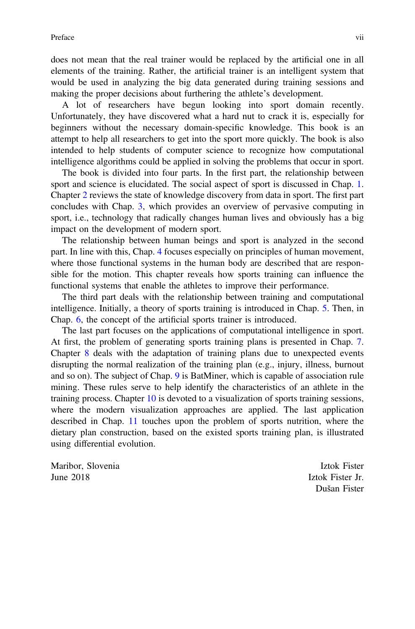does not mean that the real trainer would be replaced by the artificial one in all elements of the training. Rather, the artificial trainer is an intelligent system that would be used in analyzing the big data generated during training sessions and making the proper decisions about furthering the athlete's development.

A lot of researchers have begun looking into sport domain recently. Unfortunately, they have discovered what a hard nut to crack it is, especially for beginners without the necessary domain-specific knowledge. This book is an attempt to help all researchers to get into the sport more quickly. The book is also intended to help students of computer science to recognize how computational intelligence algorithms could be applied in solving the problems that occur in sport.

The book is divided into four parts. In the first part, the relationship between sport and science is elucidated. The social aspect of sport is discussed in Chap. 1. Chapter 2 reviews the state of knowledge discovery from data in sport. The first part concludes with Chap. 3, which provides an overview of pervasive computing in sport, i.e., technology that radically changes human lives and obviously has a big impact on the development of modern sport.

The relationship between human beings and sport is analyzed in the second part. In line with this, Chap. 4 focuses especially on principles of human movement, where those functional systems in the human body are described that are responsible for the motion. This chapter reveals how sports training can influence the functional systems that enable the athletes to improve their performance.

The third part deals with the relationship between training and computational intelligence. Initially, a theory of sports training is introduced in Chap. 5. Then, in Chap. 6, the concept of the artificial sports trainer is introduced.

The last part focuses on the applications of computational intelligence in sport. At first, the problem of generating sports training plans is presented in Chap. 7. Chapter 8 deals with the adaptation of training plans due to unexpected events disrupting the normal realization of the training plan (e.g., injury, illness, burnout and so on). The subject of Chap. 9 is BatMiner, which is capable of association rule mining. These rules serve to help identify the characteristics of an athlete in the training process. Chapter 10 is devoted to a visualization of sports training sessions, where the modern visualization approaches are applied. The last application described in Chap. 11 touches upon the problem of sports nutrition, where the dietary plan construction, based on the existed sports training plan, is illustrated using differential evolution.

Maribor, Slovenia **Iztok Fister** June 2018 Iztok Fister Jr.

Dušan Fister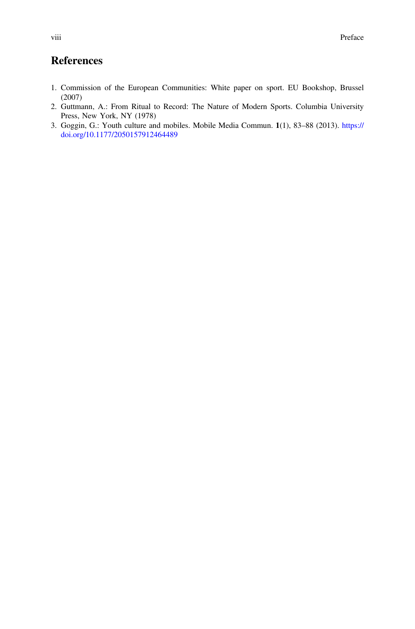### References

- 1. Commission of the European Communities: White paper on sport. EU Bookshop, Brussel (2007)
- 2. Guttmann, A.: From Ritual to Record: The Nature of Modern Sports. Columbia University Press, New York, NY (1978)
- 3. Goggin, G.: Youth culture and mobiles. Mobile Media Commun. 1(1), 83–88 (2013). [https://](https://doi.org/10.1177/2050157912464489) [doi.org/10.1177/2050157912464489](https://doi.org/10.1177/2050157912464489)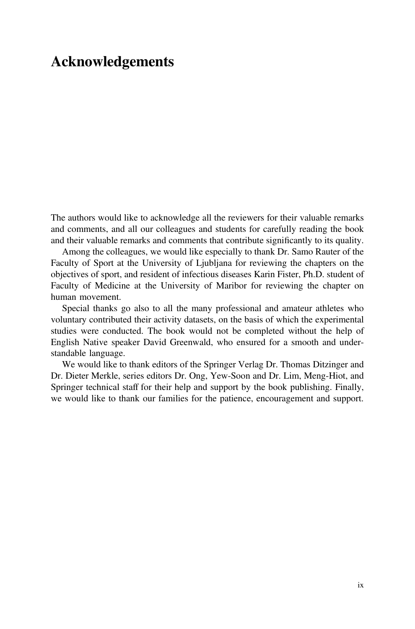### Acknowledgements

The authors would like to acknowledge all the reviewers for their valuable remarks and comments, and all our colleagues and students for carefully reading the book and their valuable remarks and comments that contribute significantly to its quality.

Among the colleagues, we would like especially to thank Dr. Samo Rauter of the Faculty of Sport at the University of Ljubljana for reviewing the chapters on the objectives of sport, and resident of infectious diseases Karin Fister, Ph.D. student of Faculty of Medicine at the University of Maribor for reviewing the chapter on human movement.

Special thanks go also to all the many professional and amateur athletes who voluntary contributed their activity datasets, on the basis of which the experimental studies were conducted. The book would not be completed without the help of English Native speaker David Greenwald, who ensured for a smooth and understandable language.

We would like to thank editors of the Springer Verlag Dr. Thomas Ditzinger and Dr. Dieter Merkle, series editors Dr. Ong, Yew-Soon and Dr. Lim, Meng-Hiot, and Springer technical staff for their help and support by the book publishing. Finally, we would like to thank our families for the patience, encouragement and support.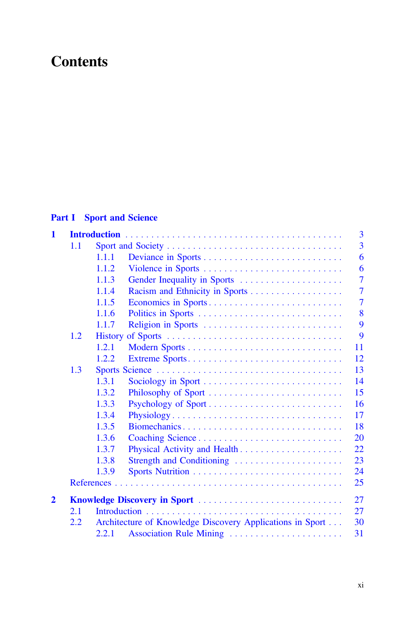# **Contents**

### Part I Sport and Science

| 1            | 3                                  |             |                                                           |                |  |  |
|--------------|------------------------------------|-------------|-----------------------------------------------------------|----------------|--|--|
|              | 1.1                                |             |                                                           | 3              |  |  |
|              |                                    | 1.1.1       |                                                           | 6              |  |  |
|              |                                    | 1.1.2       | Violence in Sports                                        | 6              |  |  |
|              |                                    | 1.1.3       | Gender Inequality in Sports                               | $\overline{7}$ |  |  |
|              |                                    | 1.1.4       |                                                           | $\overline{7}$ |  |  |
|              |                                    | 1.1.5       | Economics in Sports                                       | $\overline{7}$ |  |  |
|              |                                    | 1.1.6       | Politics in Sports                                        | 8              |  |  |
|              |                                    | 1.1.7       |                                                           | 9              |  |  |
|              | 1.2                                |             |                                                           | 9              |  |  |
|              |                                    | 1.2.1       |                                                           | 11             |  |  |
|              |                                    | 1.2.2       | Extreme Sports                                            | 12             |  |  |
|              | 1.3                                |             |                                                           | 13             |  |  |
|              |                                    | 1.3.1       |                                                           | 14             |  |  |
|              |                                    | 1.3.2       |                                                           | 15             |  |  |
|              |                                    | 1.3.3       |                                                           | 16             |  |  |
|              |                                    | 1.3.4       | Physiology                                                | 17             |  |  |
|              |                                    | 1.3.5       | Biomechanics                                              | 18             |  |  |
|              |                                    | 1.3.6       | Coaching Science                                          | 20             |  |  |
|              |                                    | 1.3.7       |                                                           | 22             |  |  |
|              |                                    | 1.3.8       | Strength and Conditioning                                 | 23             |  |  |
|              |                                    | 1.3.9       |                                                           | 24             |  |  |
|              |                                    | References. |                                                           | 25             |  |  |
| $\mathbf{2}$ | 27<br>Knowledge Discovery in Sport |             |                                                           |                |  |  |
|              | 2.1                                |             |                                                           | 27             |  |  |
|              | 2.2                                |             | Architecture of Knowledge Discovery Applications in Sport | 30             |  |  |
|              |                                    | 2.2.1       | Association Rule Mining                                   | 31             |  |  |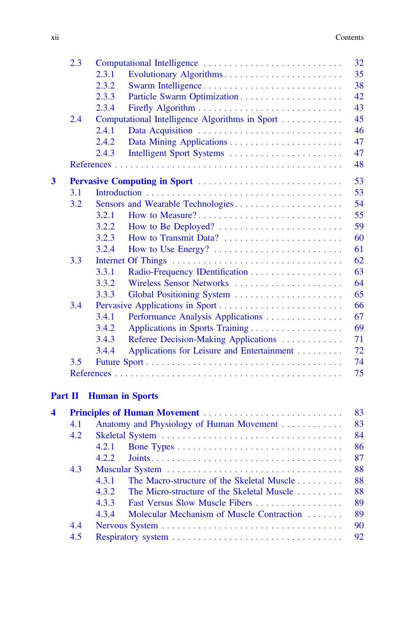| 2.3 |       | Computational Intelligence                     |
|-----|-------|------------------------------------------------|
|     | 2.3.1 |                                                |
|     | 2.3.2 | Swarm Intelligence                             |
|     | 2.3.3 |                                                |
|     | 2.3.4 |                                                |
| 2.4 |       | Computational Intelligence Algorithms in Sport |
|     | 2.4.1 | Data Acquisition                               |
|     | 2.4.2 |                                                |
|     | 2.4.3 | Intelligent Sport Systems                      |
|     |       |                                                |
|     |       | Pervasive Computing in Sport                   |
| 3.1 |       |                                                |
| 3.2 |       | Sensors and Wearable Technologies              |
|     | 3.2.1 | How to Measure?                                |
|     | 3.2.2 | How to Be Deployed?                            |
|     | 3.2.3 |                                                |
|     | 3.2.4 | How to Use Energy?                             |
| 3.3 |       |                                                |
|     | 3.3.1 |                                                |
|     | 3.3.2 | Wireless Sensor Networks                       |
|     | 3.3.3 | Global Positioning System                      |
| 3.4 |       |                                                |
|     | 3.4.1 | Performance Analysis Applications              |
|     | 3.4.2 | Applications in Sports Training                |
|     | 3.4.3 | Referee Decision-Making Applications           |
|     | 3.4.4 | Applications for Leisure and Entertainment     |
| 3.5 |       |                                                |
|     |       |                                                |

### Part II Human in Sports

|     | 83<br>Principles of Human Movement                        |
|-----|-----------------------------------------------------------|
| 4.1 | 83<br>Anatomy and Physiology of Human Movement            |
| 4.2 | 84                                                        |
|     | 86                                                        |
|     | 87<br>422                                                 |
| 4.3 | 88                                                        |
|     | 88<br>The Macro-structure of the Skeletal Muscle<br>431   |
|     | 88<br>4.3.2<br>The Micro-structure of the Skeletal Muscle |
|     | 89<br>4.3.3                                               |
|     | 89<br>4.3.4<br>Molecular Mechanism of Muscle Contraction  |
| 4.4 | 90                                                        |
| 4.5 | 92                                                        |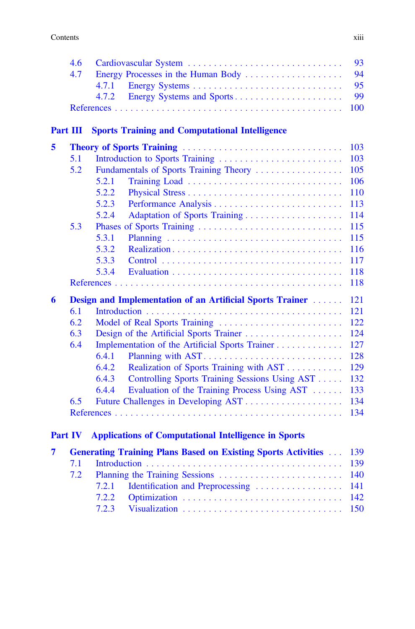#### **Contents** xiii

### Part III Sports Training and Computational Intelligence

| 5              |                                                                         |                                                                                                        |     |  |
|----------------|-------------------------------------------------------------------------|--------------------------------------------------------------------------------------------------------|-----|--|
|                | 5.1                                                                     | Introduction to Sports Training                                                                        | 103 |  |
|                | 5.2                                                                     | Fundamentals of Sports Training Theory                                                                 | 105 |  |
|                |                                                                         | 5.2.1                                                                                                  | 106 |  |
|                |                                                                         | 5.2.2                                                                                                  | 110 |  |
|                |                                                                         | 5.2.3                                                                                                  | 113 |  |
|                |                                                                         | 5.2.4                                                                                                  | 114 |  |
|                | 5.3                                                                     |                                                                                                        | 115 |  |
|                |                                                                         | 5.3.1                                                                                                  | 115 |  |
|                |                                                                         | 5.3.2                                                                                                  | 116 |  |
|                |                                                                         | 5.3.3<br>$Control \dots \dots \dots \dots \dots \dots \dots \dots \dots \dots \dots \dots \dots \dots$ | 117 |  |
|                |                                                                         | 5.3.4                                                                                                  | 118 |  |
|                |                                                                         |                                                                                                        | 118 |  |
| 6              | <b>Design and Implementation of an Artificial Sports Trainer Action</b> |                                                                                                        |     |  |
|                | 6.1                                                                     |                                                                                                        | 121 |  |
|                | 6.2                                                                     | Model of Real Sports Training                                                                          | 122 |  |
|                | 6.3                                                                     |                                                                                                        | 124 |  |
|                | 6.4                                                                     | Implementation of the Artificial Sports Trainer                                                        | 127 |  |
|                |                                                                         | 6.4.1                                                                                                  | 128 |  |
|                |                                                                         | Realization of Sports Training with AST<br>6.4.2                                                       | 129 |  |
|                |                                                                         | 6.4.3<br>Controlling Sports Training Sessions Using AST                                                | 132 |  |
|                |                                                                         | Evaluation of the Training Process Using AST<br>6.4.4                                                  | 133 |  |
|                | 6.5                                                                     |                                                                                                        | 134 |  |
|                |                                                                         |                                                                                                        | 134 |  |
| <b>Part IV</b> |                                                                         | <b>Applications of Computational Intelligence in Sports</b>                                            |     |  |
| 7              |                                                                         | <b>Generating Training Plans Based on Existing Sports Activities </b>                                  | 139 |  |
|                | 7.1                                                                     |                                                                                                        | 139 |  |
|                | 7.2                                                                     |                                                                                                        | 140 |  |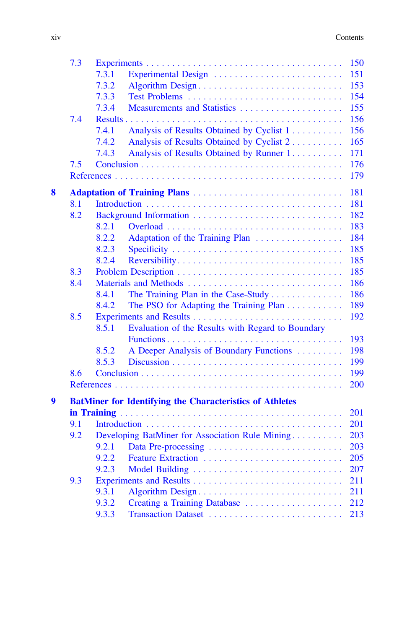|   | 7.3 |                                                                 | 150 |
|---|-----|-----------------------------------------------------------------|-----|
|   |     | 7.3.1                                                           | 151 |
|   |     | 7.3.2                                                           | 153 |
|   |     | 7.3.3                                                           | 154 |
|   |     | 7.3.4                                                           | 155 |
|   | 7.4 |                                                                 | 156 |
|   |     | 7.4.1<br>Analysis of Results Obtained by Cyclist 1              | 156 |
|   |     | 7.4.2<br>Analysis of Results Obtained by Cyclist 2              | 165 |
|   |     | Analysis of Results Obtained by Runner 1.<br>7.4.3              | 171 |
|   | 7.5 |                                                                 | 176 |
|   |     |                                                                 | 179 |
| 8 |     |                                                                 | 181 |
|   | 8.1 |                                                                 | 181 |
|   | 8.2 |                                                                 | 182 |
|   |     | 8.2.1                                                           | 183 |
|   |     | 8.2.2<br>Adaptation of the Training Plan                        | 184 |
|   |     | 8.2.3<br>Specificity                                            | 185 |
|   |     | 8.2.4<br>Reversibility                                          | 185 |
|   | 8.3 |                                                                 | 185 |
|   | 8.4 |                                                                 | 186 |
|   |     | 8.4.1<br>The Training Plan in the Case-Study                    | 186 |
|   |     | 8.4.2<br>The PSO for Adapting the Training Plan                 | 189 |
|   | 8.5 |                                                                 | 192 |
|   |     | 8.5.1<br>Evaluation of the Results with Regard to Boundary      |     |
|   |     |                                                                 | 193 |
|   |     | A Deeper Analysis of Boundary Functions<br>8.5.2                | 198 |
|   |     | 8.5.3                                                           | 199 |
|   | 8.6 |                                                                 | 199 |
|   |     |                                                                 | 200 |
|   |     |                                                                 |     |
| 9 |     | <b>BatMiner for Identifying the Characteristics of Athletes</b> | 201 |
|   | 9.1 |                                                                 | 201 |
|   | 9.2 | Developing BatMiner for Association Rule Mining                 | 203 |
|   |     | 9.2.1                                                           | 203 |
|   |     | 9.2.2                                                           | 205 |
|   |     | 9.2.3<br>Model Building                                         | 207 |
|   | 9.3 |                                                                 | 211 |
|   |     | 9.3.1                                                           | 211 |
|   |     | Creating a Training Database<br>9.3.2                           | 212 |
|   |     | 9.3.3<br>Transaction Dataset                                    | 213 |
|   |     |                                                                 |     |